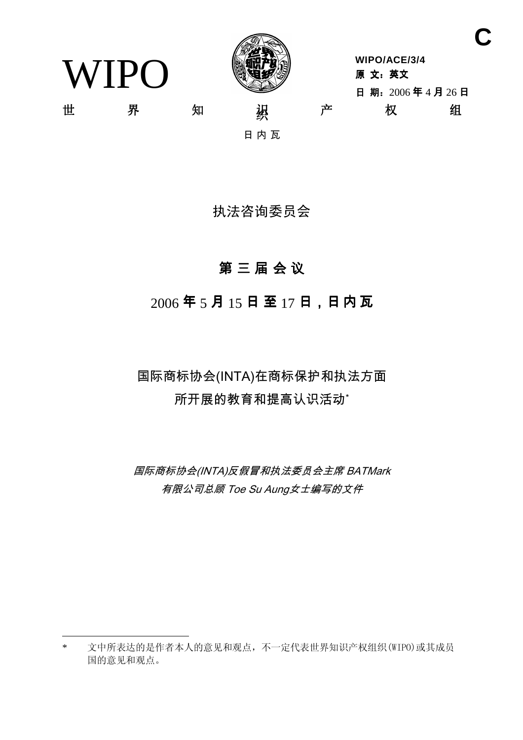WIPO



**WIPO/ACE/3/4** 原 文: 英文 日期: 2006年4月26日 Ϫ ⬠ ⶹ 㒛䆚 ѻ ᴗ 㒘

日内瓦

# 执法咨询委员会

# 第三届会议

# $2006$ 年5月15日至17日,日内瓦

# 国际商标协会(INTA)在商标保护和执法方面 所开展的教育和提高认识活动\*

国际商标协会(INTA)反假冒和执法委员会主席 BATMark 有限公司总顾 Toe Su Aung女士编写的文件

**C**

文中所表达的是作者本人的意见和观点,不一定代表世界知识产权组织(WIPO)或其成员 国的意见和观点。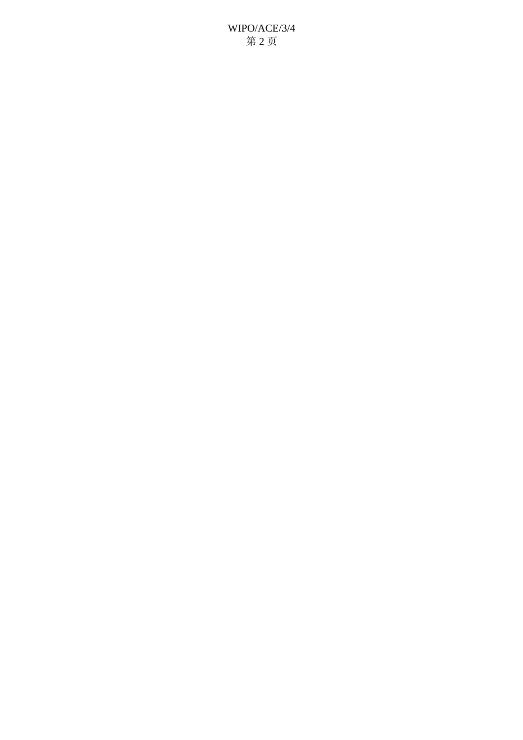WIPO/ACE/3/4 第2页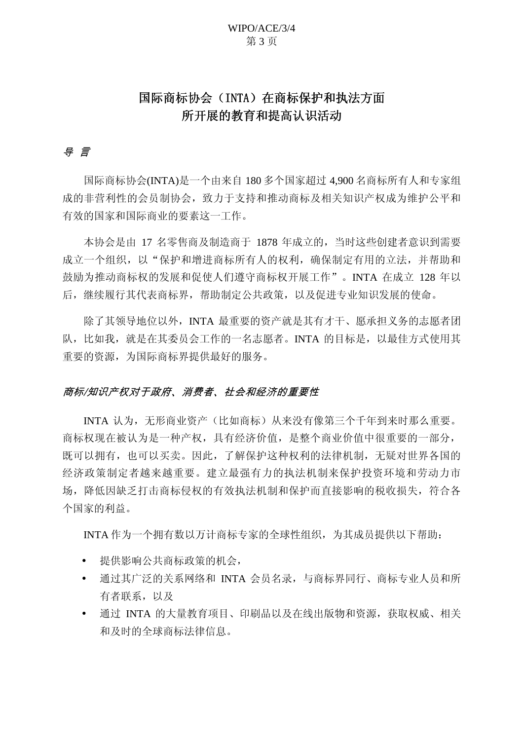### WIPO/ACE/3/4 第3页

# 国际商标协会(INTA)在商标保护和执法方面 所开展的教育和提高认识活动

## 导 言

国际商标协会(INTA)是一个由来自 180 多个国家超过 4,900 名商标所有人和专家组 成的非营利性的会员制协会, 致力于支持和推动商标及相关知识产权成为维护公平和 有效的国家和国际商业的要素这一工作。

本协会是由 17 名零售商及制造商于 1878 年成立的, 当时这些创建者意识到需要 成立一个组织, 以"保护和增进商标所有人的权利, 确保制定有用的立法, 并帮助和 鼓励为推动商标权的发展和促使人们遵守商标权开展工作"。INTA 在成立 128 年以 后, 继续履行其代表商标界, 帮助制定公共政策, 以及促进专业知识发展的使命。

除了其领导地位以外, INTA 最重要的资产就是其有才干、愿承担义务的志愿者团 队, 比如我, 就是在其委员会工作的一名志愿者。INTA 的目标是, 以最佳方式使用其 重要的资源, 为国际商标界提供最好的服务。

#### 商标/知识产权对于政府、消费者、社会和经济的重要性

INTA 认为, 无形商业资产(比如商标)从来没有像第三个千年到来时那么重要。 商标权现在被认为是一种产权,具有经济价值,是整个商业价值中很重要的一部分, 既可以拥有, 也可以买卖。因此, 了解保护这种权利的法律机制, 无疑对世界各国的 经济政策制定者越来越重要。建立最强有力的执法机制来保护投资环境和劳动力市 场, 降低因缺乏打击商标侵权的有效执法机制和保护而直接影响的税收损失, 符合各 个国家的利益。

INTA 作为一个拥有数以万计商标专家的全球性组织, 为其成员提供以下帮助:

- 提供影响公共商标政策的机会,
- 通过其广泛的关系网络和 INTA 会员名录, 与商标界同行、商标专业人员和所 有者联系, 以及
- 通过 INTA 的大量教育项目、印刷品以及在线出版物和资源, 获取权威、相关 和及时的全球商标法律信息。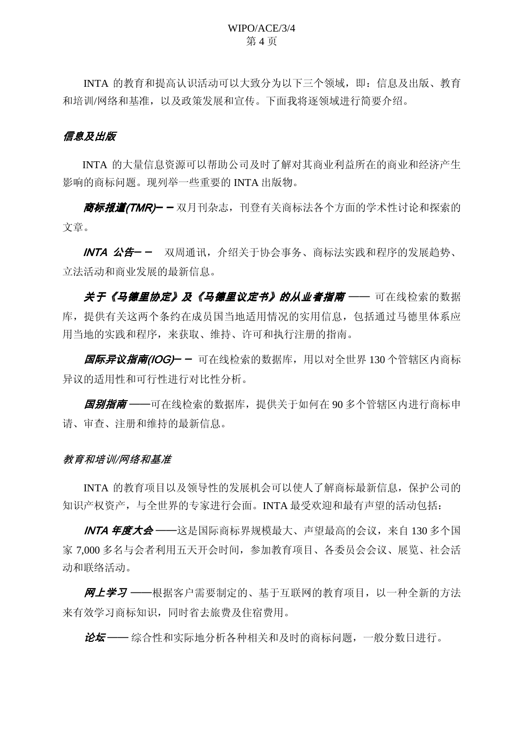#### WIPO/ACE/3/4 第4页

INTA 的教育和提高认识活动可以大致分为以下三个领域, 即: 信息及出版、教育 和培训/网络和基准, 以及政策发展和宣传。下面我将逐领域进行简要介绍。

#### 信息及出版

INTA 的大量信息资源可以帮助公司及时了解对其商业利益所在的商业和经济产生 影响的商标问题。现列举一些重要的 INTA 出版物。

**商标报道(TMR)- -** 双月刊杂志,刊登有关商标法各个方面的学术性讨论和探索的 文章。

INTA 公告—— 双周通讯,介绍关于协会事务、商标法实践和程序的发展趋势、 立法活动和商业发展的最新信息。

关于《马德里协定》及《马德里议定书》的从业者指南 —— 可在线检索的数据 库, 提供有关这两个条约在成员国当地适用情况的实用信息, 包括通过马德里体系应 用当地的实践和程序, 来获取、维持、许可和执行注册的指南。

*国际异议指南(IOG)***——** 可在线检索的数据库,用以对全世界 130 个管辖区内商标 异议的适用性和可行性进行对比性分析。

国别指南——可在线检索的数据库, 提供关于如何在 90 多个管辖区内进行商标申 请、审查、注册和维持的最新信息。

#### 教育和培训/网络和基准

INTA 的教育项目以及领导性的发展机会可以使人了解商标最新信息, 保护公司的 知识产权资产,与全世界的专家进行会面。INTA 最受欢迎和最有声望的活动包括:

INTA 年度大会 ——这是国际商标界规模最大、声望最高的会议,来自 130 多个国 家 7,000 多名与会者利用五天开会时间,参加教育项目、各委员会会议、展览、社会活 动和联络活动。

**网上学习** ——根据客户需要制定的、基于互联网的教育项目, 以一种全新的方法 来有效学习商标知识,同时省夫旅费及住宿费用。

论坛——综合性和实际地分析各种相关和及时的商标问题,一般分数日进行。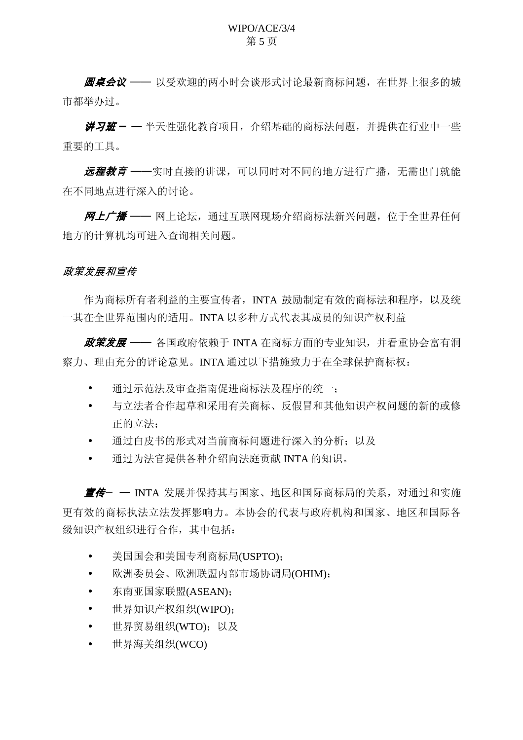#### WIPO/ACE/3/4 第5页

**圆桌会议 ––** 以受欢迎的两小时会谈形式讨论最新商标问题, 在世界上很多的城 市都举办过。

#7# - 一半天性强化教育项目, 介绍基础的商标法问题, 并提供在行业中一些 重要的工具。

远程教育 ——实时直接的讲课, 可以同时对不同的地方进行广播, 无需出门就能 在不同地点进行深入的讨论。

<mark>网上广播——</mark> 网上论坛, 通过互联网现场介绍商标法新兴问题, 位于全世界任何 地方的计算机均可进入查询相关问题。

#### 政策发展和宣传

作为商标所有者利益的主要宣传者, INTA 鼓励制定有效的商标法和程序, 以及统 一其在全世界范围内的适用。INTA 以多种方式代表其成员的知识产权利益

*政策发展 ——* **各国政府依赖于 INTA 在商标方面的专业知识,并看重协会富有洞** 察力、理由充分的评论意见。INTA 通过以下措施致力于在全球保护商标权:

- 通过示范法及审查指南促进商标法及程序的统一:
- 与立法者合作起草和采用有关商标、反假冒和其他知识产权问题的新的或修 正的立法:
- 通过白皮书的形式对当前商标问题讲行深入的分析: 以及
- 通过为法官提供各种介绍向法庭贡献 INTA 的知识。

**宣传-** 一 INTA 发展并保持其与国家、地区和国际商标局的关系, 对通过和实施 更有效的商标执法立法发挥影响力。本协会的代表与政府机构和国家、地区和国际各 级知识产权组织讲行合作, 其中包括:

- 美国国会和美国专利商标局(USPTO);
- 欧洲委员会、欧洲联盟内部市场协调局(OHIM):
- 东南亚国家联盟(ASEAN):
- 世界知识产权组织(WIPO):
- 世界贸易组织(WTO); 以及
- 世界海关组织(WCO)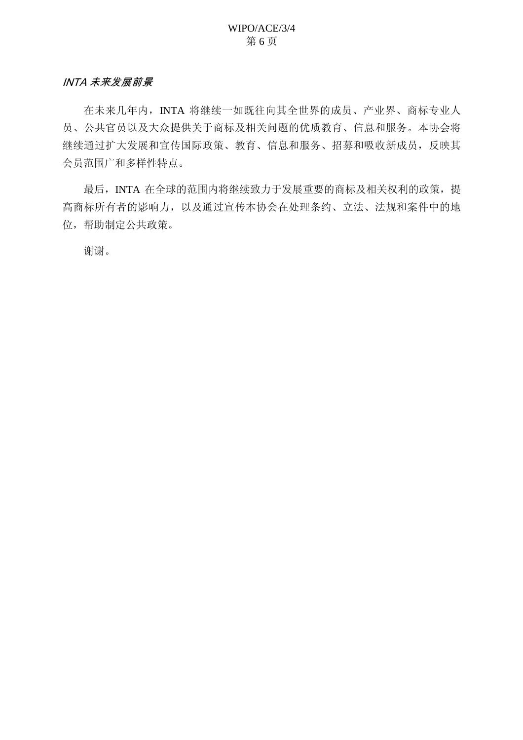#### **INTA 未来发展前景**

在未来几年内, INTA 将继续一如既往向其全世界的成员、产业界、商标专业人 员、公共官员以及大众提供关于商标及相关问题的优质教育、信息和服务。本协会将 继续通过扩大发展和宣传国际政策、教育、信息和服务、招募和吸收新成员, 反映其 会员范围广和多样性特点。

最后, INTA 在全球的范围内将继续致力于发展重要的商标及相关权利的政策, 提 高商标所有者的影响力,以及通过宣传本协会在处理条约、立法、法规和案件中的地 位,帮助制定公共政策。

谢谢。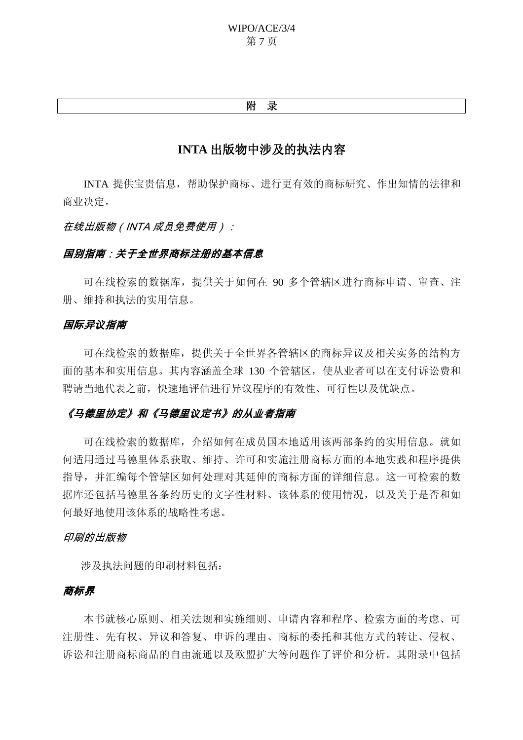WIPO/ACE/3/4 第7页

#### 附 录

# **INTA** 出版物中涉及的执法内容

INTA 提供宝贵信息, 帮助保护商标、进行更有效的商标研究、作出知情的法律和 商业决定。

#### 在线出版物(INTA 成员免费使用):

#### *国别指南:关于全世界商标注册的基本信息*

可在线检索的数据库, 提供关于如何在 90 多个管辖区进行商标申请、审查、注 册、维持和执法的实用信息。

#### 国际异议指南

可在线检索的数据库, 提供关于全世界各管辖区的商标异议及相关实务的结构方 面的基本和实用信息。其内容涵盖全球 130 个管辖区, 使从业者可以在支付诉讼费和 聘请当地代表之前, 快速地评估进行异议程序的有效性、可行性以及优缺点。

### 《马德里议定书》的从业者指南

可在线检索的数据库, 介绍如何在成员国本地适用该两部条约的实用信息。就如 何活用通讨马德里体系获取、维持、许可和实施注册商标方面的本地实践和程序提供 指导,并汇编每个管辖区如何处理对其延伸的商标方面的详细信息。这一可检索的数 据库还包括马德里各条约历史的文字性材料、该体系的使用情况,以及关于是否和如 何最好地使用该体系的战略性考虑。

#### 印刷的出版物

涉及执法问题的印刷材料包括:

#### 商标界

本书就核心原则、相关法规和实施细则、申请内容和程序、检索方面的考虑、可 注册性、先有权、异议和答复、申诉的理由、商标的委托和其他方式的转让、侵权、 诉讼和注册商标商品的自由流通以及欧盟扩大等问题作了评价和分析。其附录中包括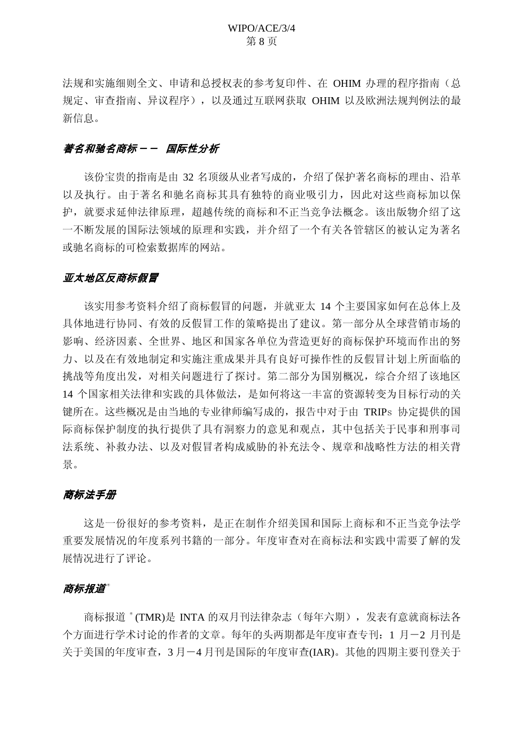法规和实施细则全文、申请和总授权表的参考复印件、在 OHIM 办理的程序指南(总 规定、审查指南、异议程序), 以及通过互联网获取 OHIM 以及欧洲法规判例法的最 新信息。

#### 著名和驰名商标-- 国际性分析

该份宝贵的指南是由32 名顶级从业者写成的, 介绍了保护著名商标的理由、沿革 以及执行。由于著名和驰名商标其具有独特的商业吸引力,因此对这些商标加以保 护, 就要求延伸法律原理, 超越传统的商标和不正当竞争法概念。该出版物介绍了这 一不断发展的国际法领域的原理和实践,并介绍了一个有关各管辖区的被认定为著名 或驰名商标的可检索数据库的网站。

#### 亚太地区商标假冒

该实用参考资料介绍了商标假冒的问题,并就亚太 14 个主要国家如何在总体上及 具体地讲行协同、有效的反假冒工作的策略提出了建议。第一部分从全球营销市场的 影响、经济因素、全世界、地区和国家各单位为营造更好的商标保护环境而作出的努 力、以及在有效地制定和实施注重成果并具有良好可操作性的反假冒计划上所面临的 挑战等角度出发, 对相关问题进行了探讨。第二部分为国别概况, 综合介绍了该地区 14 个国家相关法律和实践的具体做法, 是如何将这一丰富的资源转变为目标行动的关 键所在。这些概况是由当地的专业律师编写成的,报告中对于由 TRIPs 协定提供的国 际商标保护制度的执行提供了具有洞察力的意见和观点, 其中包括关于民事和刑事司 法系统、补救办法、以及对假冒者构成威胁的补充法令、规章和战略性方法的相关背 景。

#### 商标法手册

这是一份很好的参考资料, 是正在制作介绍美国和国际上商标和不正当竞争法学 重要发展情况的年度系列书籍的一部分。年度审杳对在商标法和实践中需要了解的发 展情况进行了评论。

#### 商标报道》

商标报道 <sup>。</sup>(TMR)是 INTA 的双月刊法律杂志(每年六期), 发表有意就商标法各 个方面进行学术讨论的作者的文章。每年的头两期都是年度审查专刊: 1 月一2 月刊是 关于美国的年度审查, 3月-4月刊是国际的年度审查(IAR)。其他的四期主要刊登关于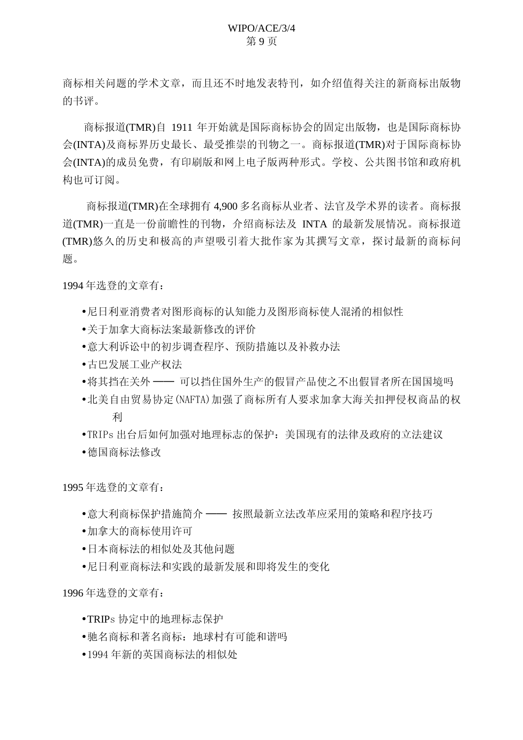商标相关问题的学术文章,而且还不时地发表特刊,如介绍值得关注的新商标出版物 的书评。

商标报道(TMR)自 1911 年开始就是国际商标协会的固定出版物, 也是国际商标协 会(INTA)及商标界历史最长、最受推崇的刊物之一。商标报道(TMR)对于国际商标协 会(INTA)的成员免费, 有印刷版和网上电子版两种形式。学校、公共图书馆和政府机 构也可订阅。

商标报道(TMR)在全球拥有 4,900 多名商标从业者、法官及学术界的读者。商标报 道(TMR)一直是一份前瞻性的刊物, 介绍商标法及 INTA 的最新发展情况。商标报道 (TMR) 悠久的历史和极高的声望吸引着大批作家为其撰写文章, 探讨最新的商标问 题。

1994年选登的文章有:

- •尼日利亚消费者对图形商标的认知能力及图形商标使人混淆的相似性
- 关于加拿大商标法案最新修改的评价
- 意大利诉讼中的初步调查程序、预防措施以及补救办法
- 古巴发展工业产权法
- 将其挡在关外 —— 可以挡住国外生产的假冒产品使之不出假冒者所在国国境吗
- •北美自由贸易协定(NAFTA)加强了商标所有人要求加拿大海关扣押侵权商品的权 利
- TRIPs 出台后如何加强对地理标志的保护: 美国现有的法律及政府的立法律议
- 德国商标法修改

1995年选登的文章有:

- •意大利商标保护措施简介 —— 按照最新立法改革应采用的策略和程序技巧
- •加拿大的商标使用许可
- •日本商标法的相似处及其他问题
- •尼日利亚商标法和实践的最新发展和即将发生的变化

- TRIPs 协定中的地理标志保护
- 驰名商标和著名商标: 地球村有可能和谐吗
- 1994年新的英国商标法的相似处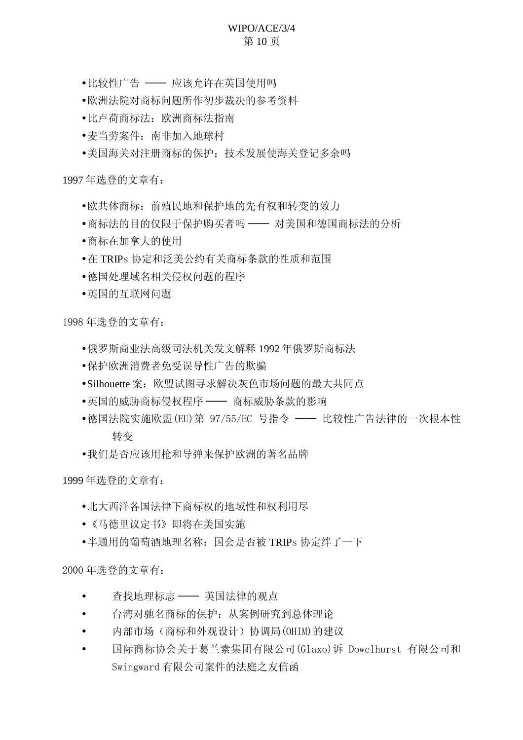#### WIPO/ACE/3/4 第10页

- •比较性广告 —— 应该允许在英国使用吗
- •欧洲法院对商标问题所作初步裁决的参考资料
- •比卢荷商标法:欧洲商标法指南
- 寿当劳案件: 南非加入地球村
- 美国海关对注册商标的保护: 技术发展使海关登记多余吗

1997年选登的文章有:

- 欧共体商标: 前殖民地和保护地的先有权和转变的效力
- •商标法的目的仅限于保护购买者吗 —— 对美国和德国商标法的分析
- 商标在加拿大的使用
- 在 TRIPs 协定和泛美公约有关商标条款的性质和范围
- 德国处理域名相关侵权问题的程序
- 英国的互联网问题

1998年洗登的文章有:

- •俄罗斯商业法高级司法机关发文解释 1992 年俄罗斯商标法
- 保护欧洲消费者免受误导性广告的欺骗
- Silhouette 案: 欧盟试图寻求解决灰色市场问题的最大共同点
- 英国的威胁商标侵权程序 —— 商标威胁条款的影响
- 德国法院实施欧盟(EU) 第 97/55/EC 号指今 —— 比较性广告法律的一次根本性 转变
- 我们是否应该用枪和导弹来保护欧洲的著名品牌

1999年洗登的文章有:

- •北大西洋各国法律下商标权的地域性和权利用尽
- •《马德里议定书》即将在美国实施
- 半通用的葡萄酒地理名称: 国会是否被 TRIPs 协定绊了一下

- 查找地理标志 —— 英国法律的观点
- 台湾对驰名商标的保护: 从案例研究到总体理论
- 内部市场(商标和外观设计)协调局(OHIM)的建议
- 国际商标协会关于葛兰素集团有限公司(Glaxo)诉 Dowelhurst 有限公司和 Swingward 有限公司案件的法庭之友信函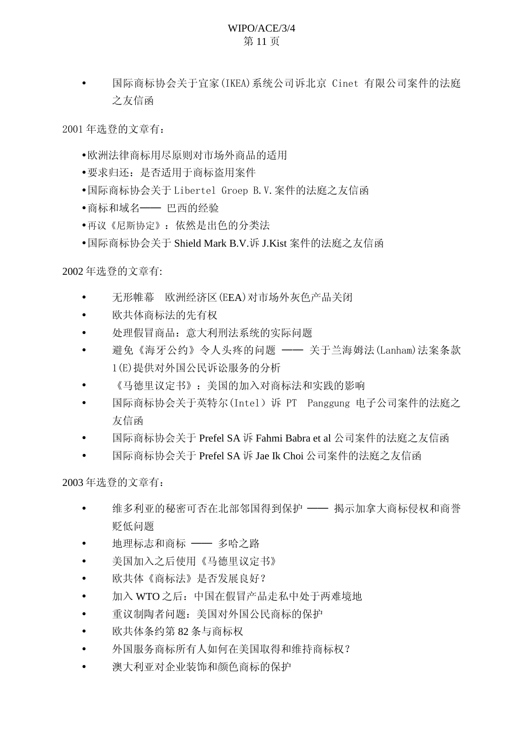## WIPO/ACE/3/4 第11页

• 国际商标协会关于官家(IKEA)系统公司诉北京 Cinet 有限公司案件的法庭 之友信函

2001年选登的文章有:

- 欧洲法律商标用尽原则对市场外商品的活用
- 要求归还: 是否适用于商标盗用案件
- •国际商标协会关于 Libertel Groep B.V.案件的法庭之友信函
- 商标和域名—— 巴西的经验
- •再议《尼斯协定》: 依然是出色的分类法
- •国际商标协会关于 Shield Mark B.V.诉 J.Kist 案件的法庭之友信函

2002 年选登的文章有:

- 无形帷幕 欧洲经济区 (EEA) 对市场外灰色产品关闭
- 欧共体商标治疗伤害权
- 处理假冒商品: 意大利刑法系统的实际问题
- 避免《海牙公约》令人头疼的问题 —— 关于兰海姆法(Lanham)法案条款 1(E)提供对外国公民诉讼服务的分析
- 《马德里议定书》: 美国的加入对商标法和实践的影响
- 国际商标协会关于英特尔(Intel) 诉 PT Panggung 电子公司案件的法庭之 友信函
- 国际商标协会关于 Prefel SA 诉 Fahmi Babra et al 公司案件的法庭之友信函
- 国际商标协会关于 Prefel SA 诉 Jae Ik Choi 公司案件的法庭之友信函

- 维多利亚的秘密可否在北部邻国得到保护 —— 揭示加拿大商标侵权和商誉 贬低问题
- 地理标志和商标 —— 多哈之路
- 美国加入之后使用《马德里议定书》
- 欧共体《商标法》是否发展良好?
- 加入 WTO 之后: 中国在假冒产品走私中处于两难境地
- 重议制陶者问题: 美国对外国公民商标的保护
- 欧共体条约第82 条与商标权
- 外国服务商标所有人如何在美国取得和维持商标权?
- 澳大利亚对企业装饰和颜色商标的保护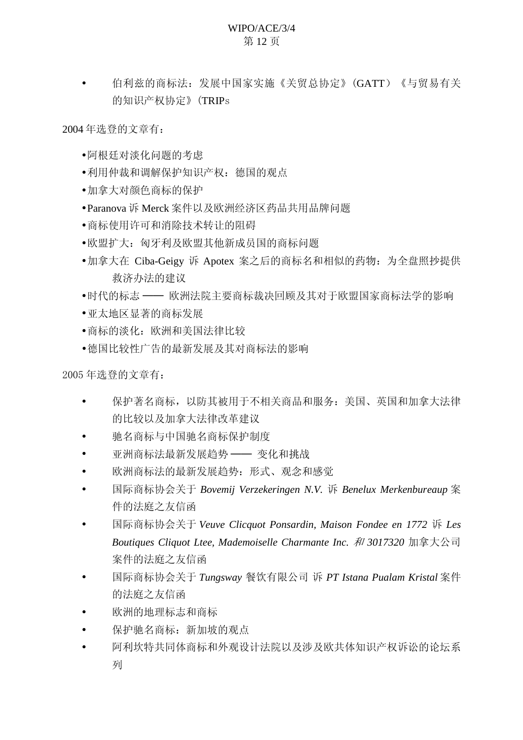#### WIPO/ACE/3/4 第12页

• 伯利兹的商标法: 发展中国家实施《关贸总协定》(GATT) 《与贸易有关 的知识产权协定》(TRIPs

2004年选登的文章有:

- 阿根廷对淡化问题的考虑
- •利用仲裁和调解保护知识产权: 德国的观点
- •加拿大对颜色商标的保护
- Paranova 诉 Merck 案件以及欧洲经济区药品共用品牌问题
- •商标使用许可和消除技术转让的阻碍
- •欧盟扩大: 匈牙利及欧盟其他新成员国的商标问题
- 加拿大在 Ciba-Geigy 诉 Apotex 案之后的商标名和相似的药物: 为全盘照抄提供 救济办法的建议
- •时代的标志 —— 欧洲法院主要商标裁决回顾及其对于欧盟国家商标法学的影响
- •亚太地区显著的商标发展
- 商标的淡化: 欧洲和美国法律比较
- 德国比较性广告的最新发展及其对商标法的影响

- 保护著名商标,以防其被用于不相关商品和服务: 美国、英国和加拿大法律 的比较以及加拿大法律改革建议
- 驰名商标与中国驰名商标保护制度
- 亚洲商标法最新发展趋势 —— 变化和挑战
- 欧洲商标法的最新发展趋势: 形式、观念和感觉
- 国际商标协会关于 Bovemij Verzekeringen N.V. 诉 Benelux Merkenbureaup 案 件的法庭之友信函
- 国际商标协会关于 Veuve Clicquot Ponsardin, Maison Fondee en 1772 诉 Les *Boutiques Cliquot Ltee, Mademoiselle Charmante Inc. 和 3017320* 加拿大公司 案件的法庭之友信函
- 国际商标协会关于 Tungsway 餐饮有限公司 诉 PT Istana Pualam Kristal 案件 的法庭之友信函
- 欧洲的地理标志和商标
- 保护驰名商标: 新加坡的观点
- 阿利坎特共同体商标和外观设计法院以及涉及欧共体知识产权诉讼的论坛系 列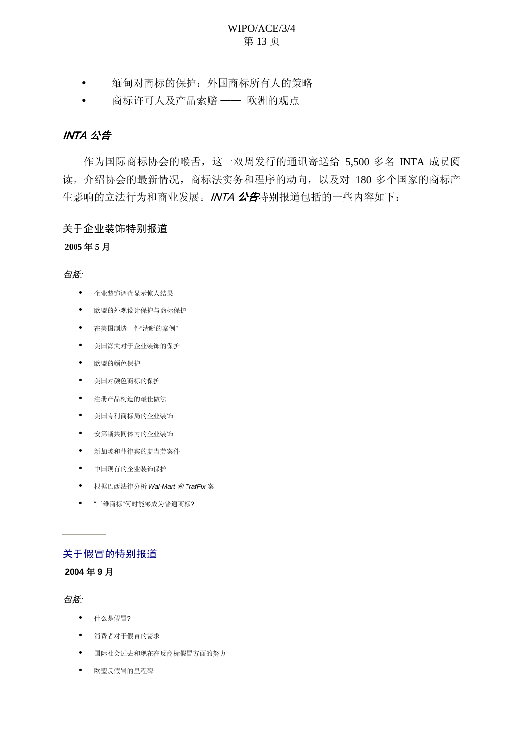- 缅甸对商标的保护: 外国商标所有人的策略
- 商标许可人及产品索赔 —— 欧洲的观点

## **INTA 公告**

作为国际商标协会的喉舌, 这一双周发行的通讯寄送给 5,500 多名 INTA 成员阅 读, 介绍协会的最新情况, 商标法实务和程序的动向, 以及对 180 多个国家的商标产 生影响的立法行为和商业发展。INTA 公告特别报道包括的一些内容如下:

# 关于企业装饰特别报道

#### **2005** ᑈ **5** ᳜

#### 包括

- 企业装饰调查显示惊人结果
- 欧盟的外观设计保护与商标保护
- 在美国制造一件"清晰的案例"
- 美国海关对于企业装饰的保护
- 欧盟的颜色保护
- 美国对颜色商标的保护
- 注册产品构造的最佳做法
- 美国专利商标局的企业装饰
- 安第斯共同体内的企业装饰
- 新加坡和菲律宾的麦当劳案件
- 中国现有的企业装饰保护
- 根据巴西法律分析 Wal-Mart 和 TrafFix 案
- "三维商标"何时能够成为普通商标?

## 关于假冒的特别报道

#### **2004** ᑈ **9** ᳜

#### 匀括

- 什么是假冒?
- 消费者对于假冒的需求
- 国际社会过去和现在在反商标假冒方面的努力
- 欧盟反假冒的里程碑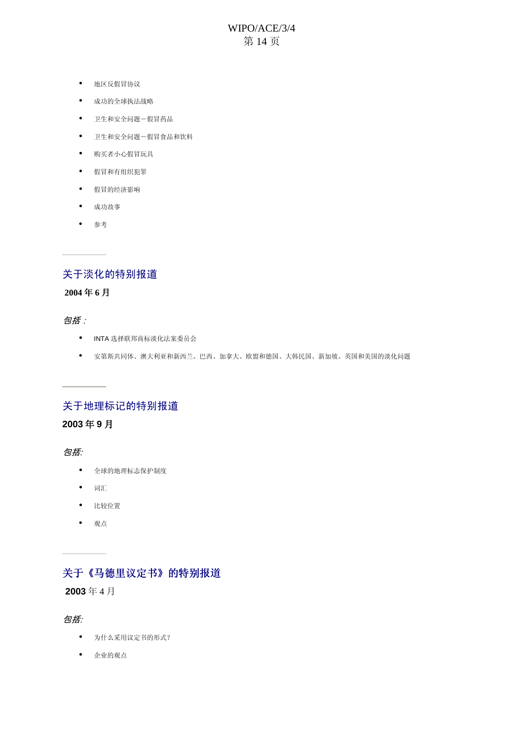# WIPO/ACE/3/4 第14页

- 地区反假冒协议
- 成功的全球执法战略
- 卫生和安全问题一假冒药品
- 卫生和安全问题一假冒食品和饮料
- 购买者小心假冒玩具
- 假冒和有组织犯罪
- 假冒的经济影响
- 成功故事
- 参考

# 关于淡化的特别报道

 **2004** ᑈ **6** ᳜

#### 包括:

- INTA 选择联邦商标淡化法案委员会
- 安第斯共同体、澳大利亚和新西兰、巴西、加拿大、欧盟和德国、大韩民国、新加坡、英国和美国的淡化问题

# 关于地理标记的特别报道

#### **2003** ᑈ **9** ᳜

包括:

- 全球的地理标志保护制度
- 词汇
- 比较位置
- 观点

# 关于《马德里议定书》的特别报道

2003年4月

#### 包括:

- 为什么采用议定书的形式?
- 企业的观点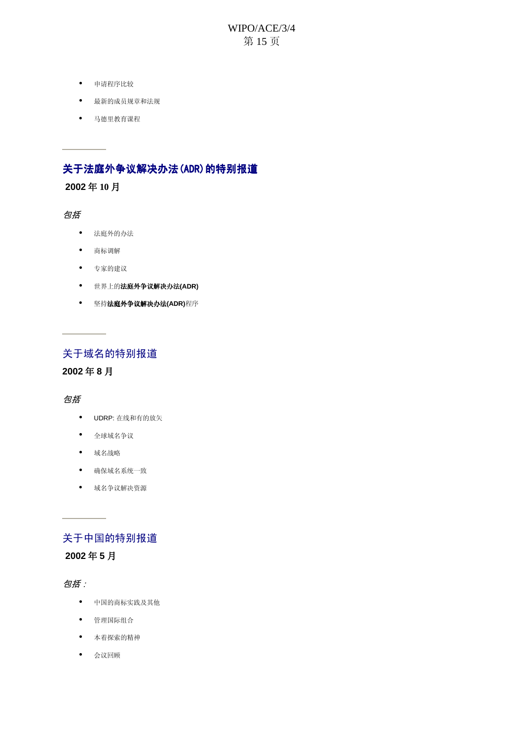# WIPO/ACE/3/4 第15页

- 申请程序比较
- 最新的成员规章和法规
- 马德里教育课程

# 关于法庭外争议解决办法(ADR)的特别报道 **2002** ᑈ **10** ᳜

#### 包括

- 法庭外的办法
- 商标调解
- 专家的建议
- 世界上的法庭外争议解决办法(ADR)
- 坚持法庭外争议解决办法(ADR)程序

# 关于域名的特别报道

**2002** ᑈ **8** ᳜

## 包括

- UDRP: 在线和有的放矢
- 全球域名争议
- 域名战略

- 确保域名系统一致
- 域名争议解决资源

# 关于中国的特别报道 **2002** ᑈ **5** ᳜

#### 包括:

- 中国的商标实践及其他
- 管理国际组合
- 本着探索的精神
- $\bullet$  会议回顾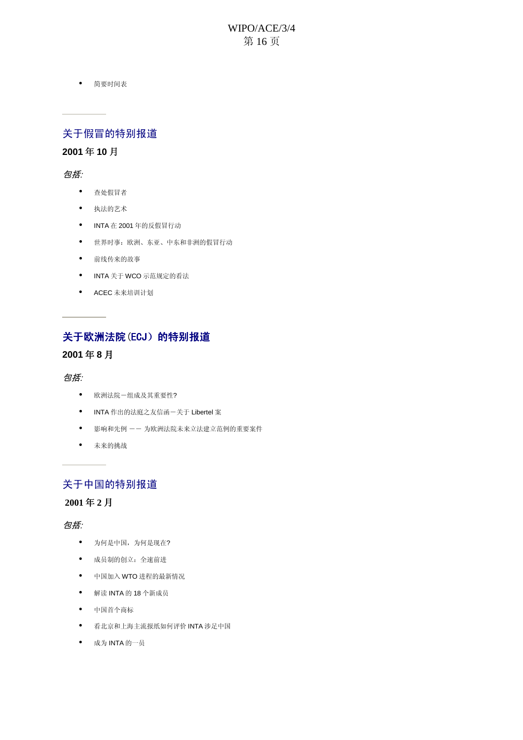• 简要时间表

#### 关于假冒的特别报道

#### **2001** ᑈ **10** ᳜

#### 包括:

- 查处假冒者
- 执法的艺术
- INTA 在 2001年的反假冒行动
- 世界时事: 欧洲、东亚、中东和非洲的假冒行动
- 前线传来的故事
- INTA 关于 WCO 示范规定的看法
- ACEC 未来培训计划

# 关于欧洲法院(ECJ)的特别报道 **2001** ᑈ **8** ᳜

#### 包括:

- 欧洲法院一组成及其重要性?
- INTA 作出的法庭之友信函一关于 Libertel 案
- 影响和先例 -- 为欧洲法院未来立法建立范例的重要案件
- 未来的挑战

## 关于中国的特别报道

**2001** ᑈ **2** ᳜

#### 包括

- 为何是中国,为何是现在?
- 成员制的创立: 全速前进
- 中国加入 WTO 进程的最新情况
- 解读 INTA 的 18 个新成员
- 中国首个商标
- 看北京和上海主流报纸如何评价 INTA 涉足中国
- 成为 INTA 的一员